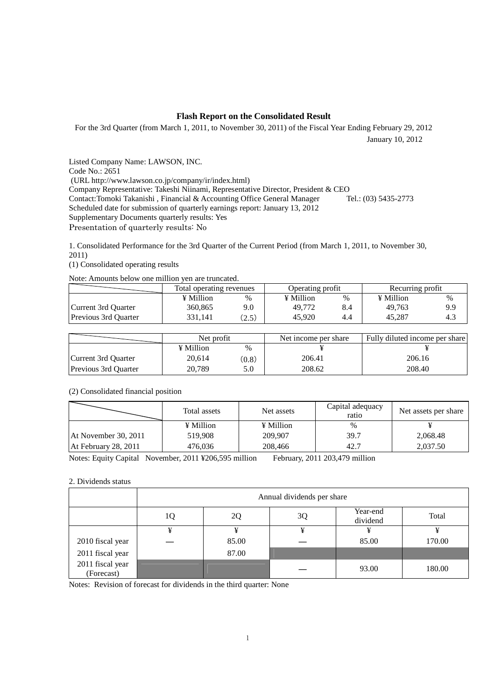## **Flash Report on the Consolidated Result**

For the 3rd Quarter (from March 1, 2011, to November 30, 2011) of the Fiscal Year Ending February 29, 2012

January 10, 2012

Listed Company Name: LAWSON, INC. Code No.: 2651 (URL http://www.lawson.co.jp/company/ir/index.html) Company Representative: Takeshi Niinami, Representative Director, President & CEO<br>Contact: Tomoki Takanishi, Financial & Accounting Office General Manager Tel.: (03) 5435-2773 Contact:Tomoki Takanishi, Financial & Accounting Office General Manager Scheduled date for submission of quarterly earnings report: January 13, 2012 Supplementary Documents quarterly results: Yes Presentation of quarterly results: No

1. Consolidated Performance for the 3rd Quarter of the Current Period (from March 1, 2011, to November 30, 2011)

(1) Consolidated operating results

Note: Amounts below one million yen are truncated.

|                             | Total operating revenues |       | Operating profit |     | Recurring profit |      |
|-----------------------------|--------------------------|-------|------------------|-----|------------------|------|
|                             | ¥ Million                | %     | ¥ Million        | %   | ¥ Million        | $\%$ |
| Current 3rd Ouarter         | 360,865                  | 9.0   | 49,772           | 8.4 | 49.763           | 9.9  |
| <b>Previous 3rd Quarter</b> | 331.141                  | (2.5) | 45,920           | 4.4 | 45.287           | 4.3  |

|                      | Net profit |       | Net income per share | Fully diluted income per share |  |
|----------------------|------------|-------|----------------------|--------------------------------|--|
|                      | ¥ Million  | $\%$  |                      |                                |  |
| Current 3rd Ouarter  | 20.614     | (0.8) | 206.41               | 206.16                         |  |
| Previous 3rd Ouarter | 20.789     | 5.0   | 208.62               | 208.40                         |  |

### (2) Consolidated financial position

|                      | Total assets | Net assets | Capital adequacy<br>ratio | Net assets per share |
|----------------------|--------------|------------|---------------------------|----------------------|
|                      | ¥ Million    | ¥ Million  | $\%$                      |                      |
| At November 30, 2011 | 519.908      | 209,907    | 39.7                      | 2,068.48             |
| At February 28, 2011 | 476.036      | 208,466    | 42.7                      | 2,037.50             |

Notes: Equity Capital November, 2011 ¥206,595 million February, 2011 203,479 million

### 2. Dividends status

|                                | Annual dividends per share |       |    |                      |        |  |
|--------------------------------|----------------------------|-------|----|----------------------|--------|--|
|                                | 10                         | 2Q    | 3Q | Year-end<br>dividend | Total  |  |
|                                | ¥                          | ¥     | ¥  |                      |        |  |
| 2010 fiscal year               |                            | 85.00 |    | 85.00                | 170.00 |  |
| 2011 fiscal year               |                            | 87.00 |    |                      |        |  |
| 2011 fiscal year<br>(Forecast) |                            |       |    | 93.00                | 180.00 |  |

Notes: Revision of forecast for dividends in the third quarter: None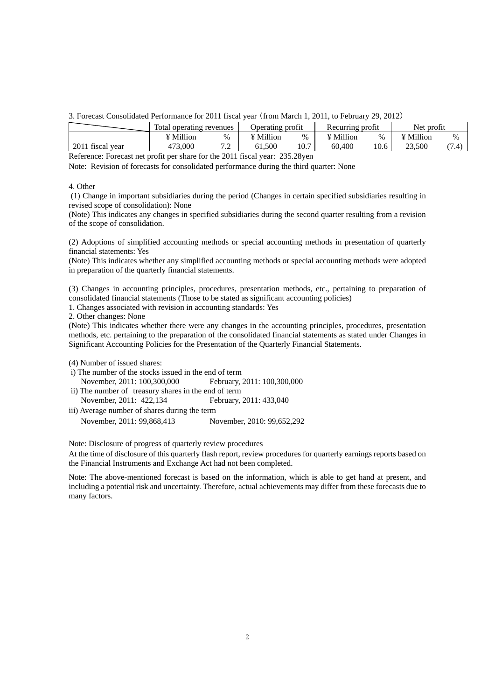3. Forecast Consolidated Performance for 2011 fiscal year (from March 1, 2011, to February 29, 2012)

|                  | Total operating revenues |                                | Operating profit     |      | Recurring profit     |      | Net profit |             |
|------------------|--------------------------|--------------------------------|----------------------|------|----------------------|------|------------|-------------|
|                  | ¥ Million                | %                              | <sup>v</sup> Million | %    | <sup>v</sup> Million | $\%$ | ¥ Million  | %           |
| 2011 fiscal vear | 473.000                  | 70<br>$\overline{\phantom{a}}$ | 61.500               | 10.7 | 60.400               | 10.6 | 23.500     | (71<br>۰. ۱ |

Reference: Forecast net profit per share for the 2011 fiscal year: 235.28yen

Note: Revision of forecasts for consolidated performance during the third quarter: None

#### 4. Other

 (1) Change in important subsidiaries during the period (Changes in certain specified subsidiaries resulting in revised scope of consolidation): None

(Note) This indicates any changes in specified subsidiaries during the second quarter resulting from a revision of the scope of consolidation.

(2) Adoptions of simplified accounting methods or special accounting methods in presentation of quarterly financial statements: Yes

(Note) This indicates whether any simplified accounting methods or special accounting methods were adopted in preparation of the quarterly financial statements.

(3) Changes in accounting principles, procedures, presentation methods, etc., pertaining to preparation of consolidated financial statements (Those to be stated as significant accounting policies)

1. Changes associated with revision in accounting standards: Yes

2. Other changes: None

(Note) This indicates whether there were any changes in the accounting principles, procedures, presentation methods, etc. pertaining to the preparation of the consolidated financial statements as stated under Changes in Significant Accounting Policies for the Presentation of the Quarterly Financial Statements.

(4) Number of issued shares:

- i) The number of the stocks issued in the end of term
- November, 2011: 100,300,000 February, 2011: 100,300,000
- ii) The number of treasury shares in the end of term
- November, 2011: 422,134 February, 2011: 433,040 iii) Average number of shares during the term

November, 2011: 99,868,413 November, 2010: 99,652,292

Note: Disclosure of progress of quarterly review procedures

At the time of disclosure of this quarterly flash report, review procedures for quarterly earnings reports based on the Financial Instruments and Exchange Act had not been completed.

Note: The above-mentioned forecast is based on the information, which is able to get hand at present, and including a potential risk and uncertainty. Therefore, actual achievements may differ from these forecasts due to many factors.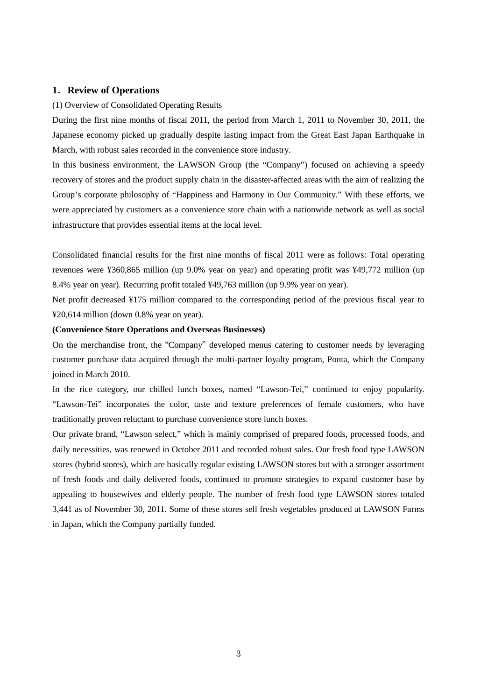# **1**.**Review of Operations**

### (1) Overview of Consolidated Operating Results

During the first nine months of fiscal 2011, the period from March 1, 2011 to November 30, 2011, the Japanese economy picked up gradually despite lasting impact from the Great East Japan Earthquake in March, with robust sales recorded in the convenience store industry.

In this business environment, the LAWSON Group (the "Company") focused on achieving a speedy recovery of stores and the product supply chain in the disaster-affected areas with the aim of realizing the Group's corporate philosophy of "Happiness and Harmony in Our Community." With these efforts, we were appreciated by customers as a convenience store chain with a nationwide network as well as social infrastructure that provides essential items at the local level.

Consolidated financial results for the first nine months of fiscal 2011 were as follows: Total operating revenues were ¥360,865 million (up 9.0% year on year) and operating profit was ¥49,772 million (up 8.4% year on year). Recurring profit totaled ¥49,763 million (up 9.9% year on year).

Net profit decreased ¥175 million compared to the corresponding period of the previous fiscal year to ¥20,614 million (down 0.8% year on year).

## **(Convenience Store Operations and Overseas Businesses)**

On the merchandise front, the "Company" developed menus catering to customer needs by leveraging customer purchase data acquired through the multi-partner loyalty program, Ponta, which the Company joined in March 2010.

In the rice category, our chilled lunch boxes, named "Lawson-Tei," continued to enjoy popularity. "Lawson-Tei" incorporates the color, taste and texture preferences of female customers, who have traditionally proven reluctant to purchase convenience store lunch boxes.

Our private brand, "Lawson select," which is mainly comprised of prepared foods, processed foods, and daily necessities, was renewed in October 2011 and recorded robust sales. Our fresh food type LAWSON stores (hybrid stores), which are basically regular existing LAWSON stores but with a stronger assortment of fresh foods and daily delivered foods, continued to promote strategies to expand customer base by appealing to housewives and elderly people. The number of fresh food type LAWSON stores totaled 3,441 as of November 30, 2011. Some of these stores sell fresh vegetables produced at LAWSON Farms in Japan, which the Company partially funded.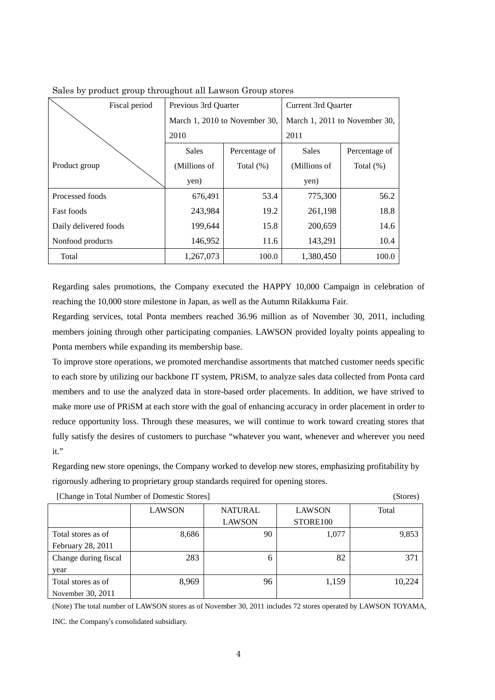| Fiscal period         | Previous 3rd Quarter |                               | Current 3rd Quarter           |               |  |
|-----------------------|----------------------|-------------------------------|-------------------------------|---------------|--|
|                       |                      | March 1, 2010 to November 30, | March 1, 2011 to November 30, |               |  |
|                       | 2010                 |                               | 2011                          |               |  |
|                       | <b>Sales</b>         | Percentage of                 | <b>Sales</b>                  | Percentage of |  |
| Product group         | (Millions of         | Total $(\%)$                  | (Millions of                  | Total $(\%)$  |  |
|                       | yen)                 |                               | yen)                          |               |  |
| Processed foods       | 676,491              | 53.4                          | 775,300                       | 56.2          |  |
| <b>Fast foods</b>     | 243,984              | 19.2                          | 261,198                       | 18.8          |  |
| Daily delivered foods | 199,644              | 15.8                          | 200,659                       | 14.6          |  |
| Nonfood products      | 146,952              | 11.6                          | 143,291                       | 10.4          |  |
| Total                 | 1,267,073            | 100.0                         | 1,380,450                     | 100.0         |  |

Sales by product group throughout all Lawson Group stores

Regarding sales promotions, the Company executed the HAPPY 10,000 Campaign in celebration of reaching the 10,000 store milestone in Japan, as well as the Autumn Rilakkuma Fair.

Regarding services, total Ponta members reached 36.96 million as of November 30, 2011, including members joining through other participating companies. LAWSON provided loyalty points appealing to Ponta members while expanding its membership base.

To improve store operations, we promoted merchandise assortments that matched customer needs specific to each store by utilizing our backbone IT system, PRiSM, to analyze sales data collected from Ponta card members and to use the analyzed data in store-based order placements. In addition, we have strived to make more use of PRiSM at each store with the goal of enhancing accuracy in order placement in order to reduce opportunity loss. Through these measures, we will continue to work toward creating stores that fully satisfy the desires of customers to purchase "whatever you want, whenever and wherever you need it."

Regarding new store openings, the Company worked to develop new stores, emphasizing profitability by rigorously adhering to proprietary group standards required for opening stores.

|                      | <b>LAWSON</b> | <b>NATURAL</b> |          | Total  |
|----------------------|---------------|----------------|----------|--------|
|                      |               | <b>LAWSON</b>  | STORE100 |        |
| Total stores as of   | 8,686         | 90             | 1,077    | 9,853  |
| February 28, 2011    |               |                |          |        |
| Change during fiscal | 283           | 6              | 82       | 371    |
| year                 |               |                |          |        |
| Total stores as of   | 8,969         | 96             | 1,159    | 10,224 |
| November 30, 2011    |               |                |          |        |

[Change in Total Number of Domestic Stores] (Stores)

(Note) The total number of LAWSON stores as of November 30, 2011 includes 72 stores operated by LAWSON TOYAMA, INC. the Company's consolidated subsidiary.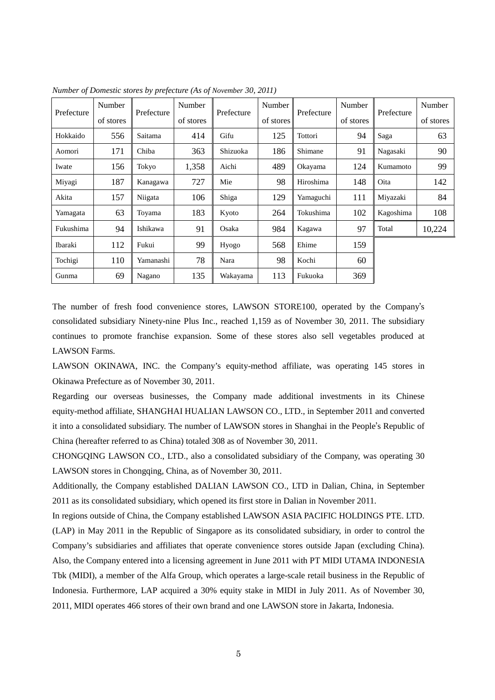|            | Number    |           | Number<br>Number<br>Prefecture<br>Prefecture<br>Prefecture | Number   | Prefecture | Number    |           |           |           |
|------------|-----------|-----------|------------------------------------------------------------|----------|------------|-----------|-----------|-----------|-----------|
| Prefecture | of stores |           | of stores                                                  |          | of stores  |           | of stores |           | of stores |
| Hokkaido   | 556       | Saitama   | 414                                                        | Gifu     | 125        | Tottori   | 94        | Saga      | 63        |
| Aomori     | 171       | Chiba     | 363                                                        | Shizuoka | 186        | Shimane   | 91        | Nagasaki  | 90        |
| Iwate      | 156       | Tokyo     | 1,358                                                      | Aichi    | 489        | Okayama   | 124       | Kumamoto  | 99        |
| Miyagi     | 187       | Kanagawa  | 727                                                        | Mie      | 98         | Hiroshima | 148       | Oita      | 142       |
| Akita      | 157       | Niigata   | 106                                                        | Shiga    | 129        | Yamaguchi | 111       | Miyazaki  | 84        |
| Yamagata   | 63        | Toyama    | 183                                                        | Kyoto    | 264        | Tokushima | 102       | Kagoshima | 108       |
| Fukushima  | 94        | Ishikawa  | 91                                                         | Osaka    | 984        | Kagawa    | 97        | Total     | 10,224    |
| Ibaraki    | 112       | Fukui     | 99                                                         | Hyogo    | 568        | Ehime     | 159       |           |           |
| Tochigi    | 110       | Yamanashi | 78                                                         | Nara     | 98         | Kochi     | 60        |           |           |
| Gunma      | 69        | Nagano    | 135                                                        | Wakayama | 113        | Fukuoka   | 369       |           |           |

*Number of Domestic stores by prefecture (As of November 30, 2011)* 

The number of fresh food convenience stores, LAWSON STORE100, operated by the Company's consolidated subsidiary Ninety-nine Plus Inc., reached 1,159 as of November 30, 2011. The subsidiary continues to promote franchise expansion. Some of these stores also sell vegetables produced at LAWSON Farms.

LAWSON OKINAWA, INC. the Company's equity-method affiliate, was operating 145 stores in Okinawa Prefecture as of November 30, 2011.

Regarding our overseas businesses, the Company made additional investments in its Chinese equity-method affiliate, SHANGHAI HUALIAN LAWSON CO., LTD., in September 2011 and converted it into a consolidated subsidiary. The number of LAWSON stores in Shanghai in the People's Republic of China (hereafter referred to as China) totaled 308 as of November 30, 2011.

CHONGQING LAWSON CO., LTD., also a consolidated subsidiary of the Company, was operating 30 LAWSON stores in Chongqing, China, as of November 30, 2011.

Additionally, the Company established DALIAN LAWSON CO., LTD in Dalian, China, in September 2011 as its consolidated subsidiary, which opened its first store in Dalian in November 2011.

In regions outside of China, the Company established LAWSON ASIA PACIFIC HOLDINGS PTE. LTD. (LAP) in May 2011 in the Republic of Singapore as its consolidated subsidiary, in order to control the Company's subsidiaries and affiliates that operate convenience stores outside Japan (excluding China). Also, the Company entered into a licensing agreement in June 2011 with PT MIDI UTAMA INDONESIA Tbk (MIDI), a member of the Alfa Group, which operates a large-scale retail business in the Republic of Indonesia. Furthermore, LAP acquired a 30% equity stake in MIDI in July 2011. As of November 30, 2011, MIDI operates 466 stores of their own brand and one LAWSON store in Jakarta, Indonesia.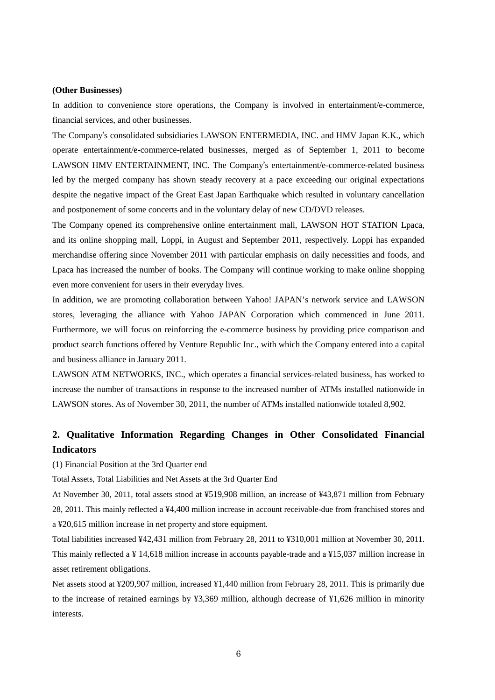### **(Other Businesses)**

In addition to convenience store operations, the Company is involved in entertainment/e-commerce, financial services, and other businesses.

The Company's consolidated subsidiaries LAWSON ENTERMEDIA, INC. and HMV Japan K.K., which operate entertainment/e-commerce-related businesses, merged as of September 1, 2011 to become LAWSON HMV ENTERTAINMENT, INC. The Company's entertainment/e-commerce-related business led by the merged company has shown steady recovery at a pace exceeding our original expectations despite the negative impact of the Great East Japan Earthquake which resulted in voluntary cancellation and postponement of some concerts and in the voluntary delay of new CD/DVD releases.

The Company opened its comprehensive online entertainment mall, LAWSON HOT STATION Lpaca, and its online shopping mall, Loppi, in August and September 2011, respectively. Loppi has expanded merchandise offering since November 2011 with particular emphasis on daily necessities and foods, and Lpaca has increased the number of books. The Company will continue working to make online shopping even more convenient for users in their everyday lives.

In addition, we are promoting collaboration between Yahoo! JAPAN's network service and LAWSON stores, leveraging the alliance with Yahoo JAPAN Corporation which commenced in June 2011. Furthermore, we will focus on reinforcing the e-commerce business by providing price comparison and product search functions offered by Venture Republic Inc., with which the Company entered into a capital and business alliance in January 2011.

LAWSON ATM NETWORKS, INC., which operates a financial services-related business, has worked to increase the number of transactions in response to the increased number of ATMs installed nationwide in LAWSON stores. As of November 30, 2011, the number of ATMs installed nationwide totaled 8,902.

# **2. Qualitative Information Regarding Changes in Other Consolidated Financial Indicators**

(1) Financial Position at the 3rd Quarter end

Total Assets, Total Liabilities and Net Assets at the 3rd Quarter End

At November 30, 2011, total assets stood at ¥519,908 million, an increase of ¥43,871 million from February 28, 2011. This mainly reflected a ¥4,400 million increase in account receivable-due from franchised stores and a ¥20,615 million increase in net property and store equipment.

Total liabilities increased ¥42,431 million from February 28, 2011 to ¥310,001 million at November 30, 2011. This mainly reflected a ¥ 14,618 million increase in accounts payable-trade and a ¥15,037 million increase in asset retirement obligations.

Net assets stood at ¥209,907 million, increased ¥1,440 million from February 28, 2011. This is primarily due to the increase of retained earnings by ¥3,369 million, although decrease of ¥1,626 million in minority interests.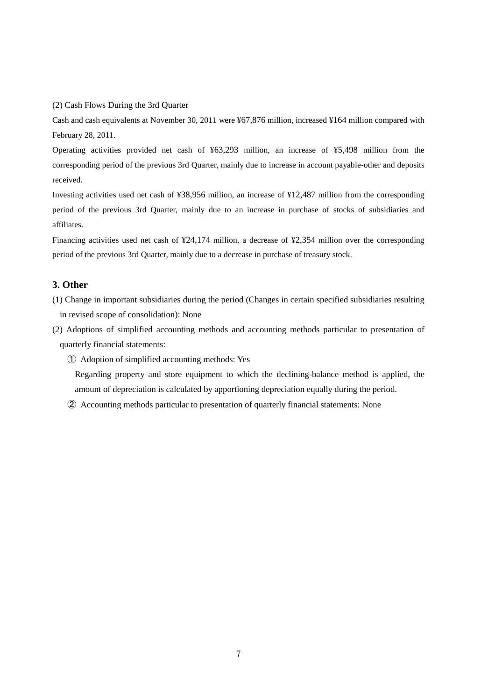(2) Cash Flows During the 3rd Quarter

Cash and cash equivalents at November 30, 2011 were ¥67,876 million, increased ¥164 million compared with February 28, 2011.

Operating activities provided net cash of ¥63,293 million, an increase of ¥5,498 million from the corresponding period of the previous 3rd Quarter, mainly due to increase in account payable-other and deposits received.

Investing activities used net cash of ¥38,956 million, an increase of ¥12,487 million from the corresponding period of the previous 3rd Quarter, mainly due to an increase in purchase of stocks of subsidiaries and affiliates.

Financing activities used net cash of ¥24,174 million, a decrease of ¥2,354 million over the corresponding period of the previous 3rd Quarter, mainly due to a decrease in purchase of treasury stock.

# **3. Other**

- (1) Change in important subsidiaries during the period (Changes in certain specified subsidiaries resulting in revised scope of consolidation): None
- (2) Adoptions of simplified accounting methods and accounting methods particular to presentation of quarterly financial statements:
	- ① Adoption of simplified accounting methods: Yes

Regarding property and store equipment to which the declining-balance method is applied, the amount of depreciation is calculated by apportioning depreciation equally during the period.

② Accounting methods particular to presentation of quarterly financial statements: None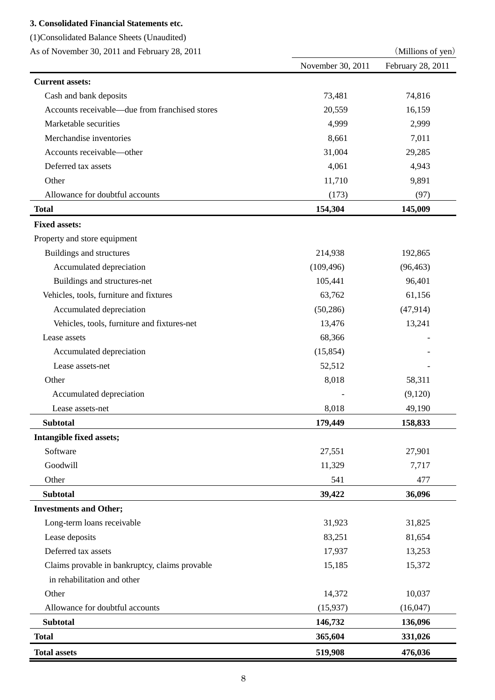# **3. Consolidated Financial Statements etc.**

(1)Consolidated Balance Sheets (Unaudited)

As of November 30, 2011 and February 28, 2011 (Millions of yen)

| As of indefined 30, 2011 and February 28, 2011 |                   | ( <i>INITITIOIIS</i> OF <i>year</i> ) |
|------------------------------------------------|-------------------|---------------------------------------|
|                                                | November 30, 2011 | February 28, 2011                     |
| <b>Current assets:</b>                         |                   |                                       |
| Cash and bank deposits                         | 73,481            | 74,816                                |
| Accounts receivable—due from franchised stores | 20,559            | 16,159                                |
| Marketable securities                          | 4,999             | 2,999                                 |
| Merchandise inventories                        | 8,661             | 7,011                                 |
| Accounts receivable-other                      | 31,004            | 29,285                                |
| Deferred tax assets                            | 4,061             | 4,943                                 |
| Other                                          | 11,710            | 9,891                                 |
| Allowance for doubtful accounts                | (173)             | (97)                                  |
| <b>Total</b>                                   | 154,304           | 145,009                               |
| <b>Fixed assets:</b>                           |                   |                                       |
| Property and store equipment                   |                   |                                       |
| Buildings and structures                       | 214,938           | 192,865                               |
| Accumulated depreciation                       | (109, 496)        | (96, 463)                             |
| Buildings and structures-net                   | 105,441           | 96,401                                |
| Vehicles, tools, furniture and fixtures        | 63,762            | 61,156                                |
| Accumulated depreciation                       | (50, 286)         | (47, 914)                             |
| Vehicles, tools, furniture and fixtures-net    | 13,476            | 13,241                                |
| Lease assets                                   | 68,366            |                                       |
| Accumulated depreciation                       | (15, 854)         |                                       |
| Lease assets-net                               | 52,512            |                                       |
| Other                                          | 8,018             | 58,311                                |
| Accumulated depreciation                       |                   | (9,120)                               |
| Lease assets-net                               | 8,018             | 49,190                                |
| <b>Subtotal</b>                                | 179,449           | 158,833                               |
| Intangible fixed assets;                       |                   |                                       |
| Software                                       | 27,551            | 27,901                                |
| Goodwill                                       | 11,329            | 7,717                                 |
| Other                                          | 541               | 477                                   |
| <b>Subtotal</b>                                | 39,422            | 36,096                                |
| <b>Investments and Other;</b>                  |                   |                                       |
| Long-term loans receivable                     | 31,923            | 31,825                                |
| Lease deposits                                 | 83,251            | 81,654                                |
| Deferred tax assets                            | 17,937            | 13,253                                |
| Claims provable in bankruptcy, claims provable | 15,185            | 15,372                                |
| in rehabilitation and other                    |                   |                                       |
| Other                                          | 14,372            | 10,037                                |
| Allowance for doubtful accounts                | (15, 937)         | (16,047)                              |
| <b>Subtotal</b>                                | 146,732           | 136,096                               |
| <b>Total</b>                                   | 365,604           | 331,026                               |
| <b>Total assets</b>                            | 519,908           | 476,036                               |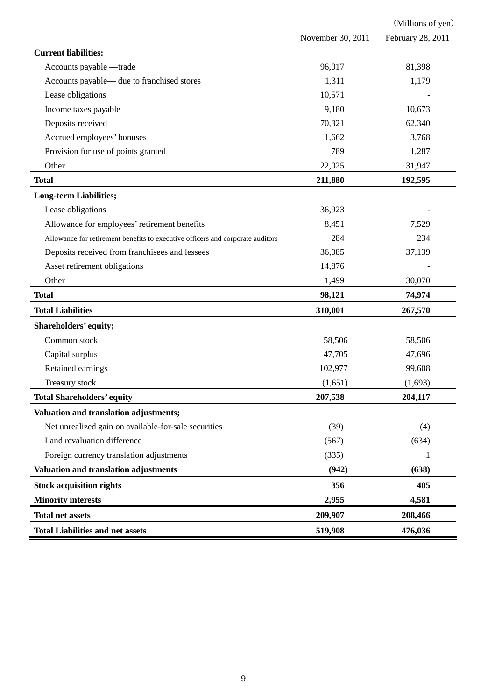|                                                                                |                   | (Millions of yen) |
|--------------------------------------------------------------------------------|-------------------|-------------------|
|                                                                                | November 30, 2011 | February 28, 2011 |
| <b>Current liabilities:</b>                                                    |                   |                   |
| Accounts payable -trade                                                        | 96,017            | 81,398            |
| Accounts payable— due to franchised stores                                     | 1,311             | 1,179             |
| Lease obligations                                                              | 10,571            |                   |
| Income taxes payable                                                           | 9,180             | 10,673            |
| Deposits received                                                              | 70,321            | 62,340            |
| Accrued employees' bonuses                                                     | 1,662             | 3,768             |
| Provision for use of points granted                                            | 789               | 1,287             |
| Other                                                                          | 22,025            | 31,947            |
| <b>Total</b>                                                                   | 211,880           | 192,595           |
| <b>Long-term Liabilities;</b>                                                  |                   |                   |
| Lease obligations                                                              | 36,923            |                   |
| Allowance for employees' retirement benefits                                   | 8,451             | 7,529             |
| Allowance for retirement benefits to executive officers and corporate auditors | 284               | 234               |
| Deposits received from franchisees and lessees                                 | 36,085            | 37,139            |
| Asset retirement obligations                                                   | 14,876            |                   |
| Other                                                                          | 1,499             | 30,070            |
| <b>Total</b>                                                                   | 98,121            | 74,974            |
| <b>Total Liabilities</b>                                                       | 310,001           | 267,570           |
| Shareholders' equity;                                                          |                   |                   |
| Common stock                                                                   | 58,506            | 58,506            |
| Capital surplus                                                                | 47,705            | 47,696            |
| Retained earnings                                                              | 102,977           | 99,608            |
| Treasury stock                                                                 | (1,651)           | (1,693)           |
| <b>Total Shareholders' equity</b>                                              | 207,538           | 204,117           |
| Valuation and translation adjustments;                                         |                   |                   |
| Net unrealized gain on available-for-sale securities                           | (39)              | (4)               |
| Land revaluation difference                                                    | (567)             | (634)             |
| Foreign currency translation adjustments                                       | (335)             | 1                 |
| Valuation and translation adjustments                                          | (942)             | (638)             |
| <b>Stock acquisition rights</b>                                                | 356               | 405               |
| <b>Minority interests</b>                                                      | 2,955             | 4,581             |
| <b>Total net assets</b>                                                        | 209,907           | 208,466           |
| <b>Total Liabilities and net assets</b>                                        | 519,908           | 476,036           |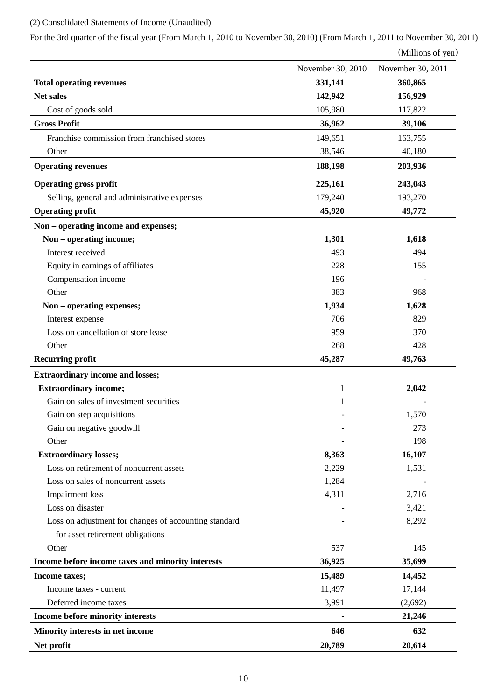# (2) Consolidated Statements of Income (Unaudited)

For the 3rd quarter of the fiscal year (From March 1, 2010 to November 30, 2010) (From March 1, 2011 to November 30, 2011)

(Millions of yen)

|                                                       | November 30, 2010 | November 30, 2011 |
|-------------------------------------------------------|-------------------|-------------------|
| <b>Total operating revenues</b>                       | 331,141           | 360,865           |
| Net sales                                             | 142,942           | 156,929           |
| Cost of goods sold                                    | 105,980           | 117,822           |
| <b>Gross Profit</b>                                   | 36,962            | 39,106            |
| Franchise commission from franchised stores           | 149,651           | 163,755           |
| Other                                                 | 38,546            | 40,180            |
| <b>Operating revenues</b>                             | 188,198           | 203,936           |
| <b>Operating gross profit</b>                         | 225,161           | 243,043           |
| Selling, general and administrative expenses          | 179,240           | 193,270           |
| <b>Operating profit</b>                               | 45,920            | 49,772            |
| Non - operating income and expenses;                  |                   |                   |
| Non – operating income;                               | 1,301             | 1,618             |
| Interest received                                     | 493               | 494               |
| Equity in earnings of affiliates                      | 228               | 155               |
| Compensation income                                   | 196               |                   |
| Other                                                 | 383               | 968               |
| Non - operating expenses;                             | 1,934             | 1,628             |
| Interest expense                                      | 706               | 829               |
| Loss on cancellation of store lease                   | 959               | 370               |
| Other                                                 | 268               | 428               |
| <b>Recurring profit</b>                               | 45,287            | 49,763            |
|                                                       |                   |                   |
| <b>Extraordinary income and losses;</b>               |                   |                   |
| <b>Extraordinary income;</b>                          | $\mathbf{1}$      | 2,042             |
| Gain on sales of investment securities                | 1                 |                   |
| Gain on step acquisitions                             |                   | 1,570             |
| Gain on negative goodwill                             |                   | 273               |
| Other                                                 |                   | 198               |
| <b>Extraordinary losses;</b>                          | 8,363             | 16,107            |
| Loss on retirement of noncurrent assets               | 2,229             | 1,531             |
| Loss on sales of noncurrent assets                    | 1,284             |                   |
| <b>Impairment</b> loss                                | 4,311             | 2,716             |
| Loss on disaster                                      |                   | 3,421             |
| Loss on adjustment for changes of accounting standard |                   | 8,292             |
| for asset retirement obligations                      |                   |                   |
| Other                                                 | 537               | 145               |
| Income before income taxes and minority interests     | 36,925            | 35,699            |
| Income taxes;                                         | 15,489            | 14,452            |
| Income taxes - current                                | 11,497            | 17,144            |
| Deferred income taxes                                 | 3,991             | (2,692)           |
| Income before minority interests                      |                   | 21,246            |
| Minority interests in net income                      | 646               | 632               |
| Net profit                                            | 20,789            | 20,614            |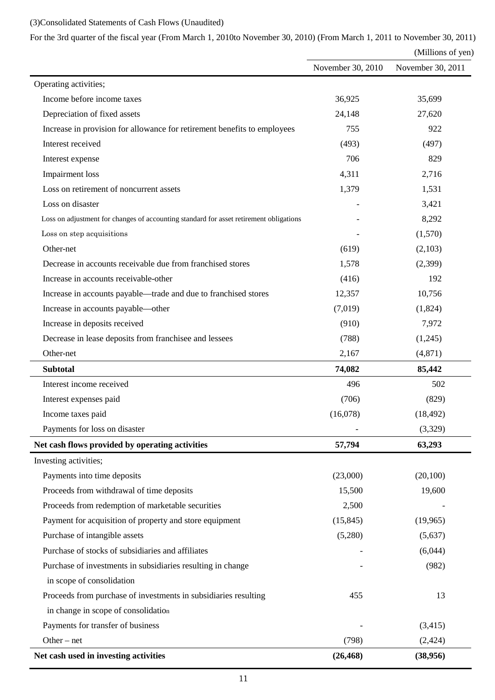# (3)Consolidated Statements of Cash Flows (Unaudited)

For the 3rd quarter of the fiscal year (From March 1, 2010to November 30, 2010) (From March 1, 2011 to November 30, 2011)

(Millions of yen)

|                                                                                        | November 30, 2010 | November 30, 2011 |
|----------------------------------------------------------------------------------------|-------------------|-------------------|
| Operating activities;                                                                  |                   |                   |
| Income before income taxes                                                             | 36,925            | 35,699            |
| Depreciation of fixed assets                                                           | 24,148            | 27,620            |
| Increase in provision for allowance for retirement benefits to employees               | 755               | 922               |
| Interest received                                                                      | (493)             | (497)             |
| Interest expense                                                                       | 706               | 829               |
| Impairment loss                                                                        | 4,311             | 2,716             |
| Loss on retirement of noncurrent assets                                                | 1,379             | 1,531             |
| Loss on disaster                                                                       |                   | 3,421             |
| Loss on adjustment for changes of accounting standard for asset retirement obligations |                   | 8,292             |
| Loss on step acquisitions                                                              |                   | (1,570)           |
| Other-net                                                                              | (619)             | (2,103)           |
| Decrease in accounts receivable due from franchised stores                             | 1,578             | (2,399)           |
| Increase in accounts receivable-other                                                  | (416)             | 192               |
| Increase in accounts payable—trade and due to franchised stores                        | 12,357            | 10,756            |
| Increase in accounts payable—other                                                     | (7,019)           | (1,824)           |
| Increase in deposits received                                                          | (910)             | 7,972             |
| Decrease in lease deposits from franchisee and lessees                                 | (788)             | (1,245)           |
| Other-net                                                                              | 2,167             | (4,871)           |
| <b>Subtotal</b>                                                                        | 74,082            | 85,442            |
| Interest income received                                                               | 496               | 502               |
| Interest expenses paid                                                                 | (706)             | (829)             |
| Income taxes paid                                                                      | (16,078)          | (18, 492)         |
| Payments for loss on disaster                                                          |                   | (3,329)           |
| Net cash flows provided by operating activities                                        | 57,794            | 63,293            |
| Investing activities;                                                                  |                   |                   |
| Payments into time deposits                                                            | (23,000)          | (20,100)          |
| Proceeds from withdrawal of time deposits                                              | 15,500            | 19,600            |
| Proceeds from redemption of marketable securities                                      | 2,500             |                   |
| Payment for acquisition of property and store equipment                                | (15, 845)         | (19,965)          |
| Purchase of intangible assets                                                          | (5,280)           | (5,637)           |
| Purchase of stocks of subsidiaries and affiliates                                      |                   | (6,044)           |
| Purchase of investments in subsidiaries resulting in change                            |                   | (982)             |
| in scope of consolidation                                                              |                   |                   |
| Proceeds from purchase of investments in subsidiaries resulting                        | 455               | 13                |
| in change in scope of consolidation                                                    |                   |                   |
| Payments for transfer of business                                                      |                   | (3,415)           |
| Other $-$ net                                                                          | (798)             | (2, 424)          |
| Net cash used in investing activities                                                  | (26, 468)         | (38,956)          |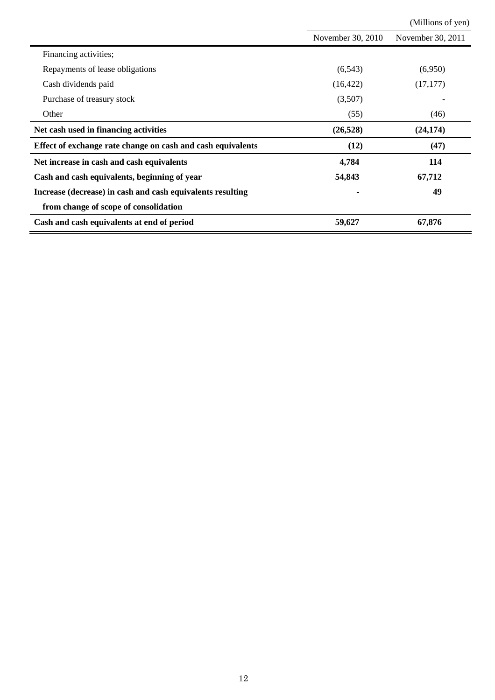|                                                             |                   | (Millions of yen) |
|-------------------------------------------------------------|-------------------|-------------------|
|                                                             | November 30, 2010 | November 30, 2011 |
| Financing activities;                                       |                   |                   |
| Repayments of lease obligations                             | (6, 543)          | (6,950)           |
| Cash dividends paid                                         | (16, 422)         | (17, 177)         |
| Purchase of treasury stock                                  | (3,507)           |                   |
| Other                                                       | (55)              | (46)              |
| Net cash used in financing activities                       | (26, 528)         | (24, 174)         |
| Effect of exchange rate change on cash and cash equivalents | (12)              | (47)              |
| Net increase in cash and cash equivalents                   | 4,784             | 114               |
| Cash and cash equivalents, beginning of year                | 54,843            | 67,712            |
| Increase (decrease) in cash and cash equivalents resulting  |                   | 49                |
| from change of scope of consolidation                       |                   |                   |
| Cash and cash equivalents at end of period                  | 59,627            | 67,876            |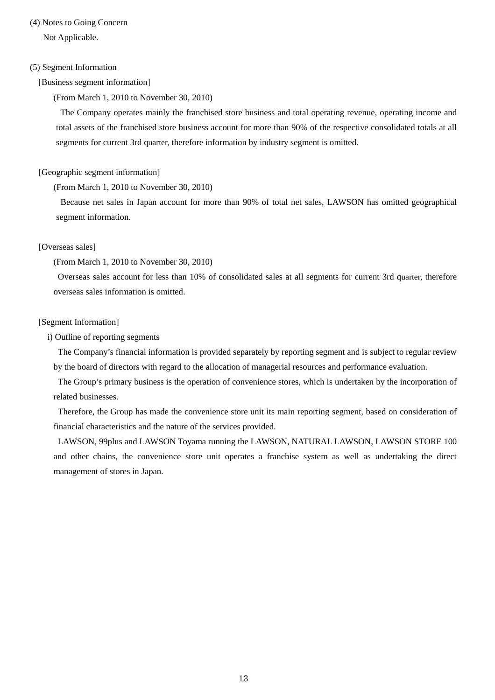# (4) Notes to Going Concern

Not Applicable.

## (5) Segment Information

[Business segment information]

(From March 1, 2010 to November 30, 2010)

 The Company operates mainly the franchised store business and total operating revenue, operating income and total assets of the franchised store business account for more than 90% of the respective consolidated totals at all segments for current 3rd quarter, therefore information by industry segment is omitted.

### [Geographic segment information]

(From March 1, 2010 to November 30, 2010)

Because net sales in Japan account for more than 90% of total net sales, LAWSON has omitted geographical segment information.

### [Overseas sales]

(From March 1, 2010 to November 30, 2010)

Overseas sales account for less than 10% of consolidated sales at all segments for current 3rd quarter, therefore overseas sales information is omitted.

### [Segment Information]

i) Outline of reporting segments

The Company's financial information is provided separately by reporting segment and is subject to regular review by the board of directors with regard to the allocation of managerial resources and performance evaluation.

The Group's primary business is the operation of convenience stores, which is undertaken by the incorporation of related businesses.

Therefore, the Group has made the convenience store unit its main reporting segment, based on consideration of financial characteristics and the nature of the services provided.

LAWSON, 99plus and LAWSON Toyama running the LAWSON, NATURAL LAWSON, LAWSON STORE 100 and other chains, the convenience store unit operates a franchise system as well as undertaking the direct management of stores in Japan.